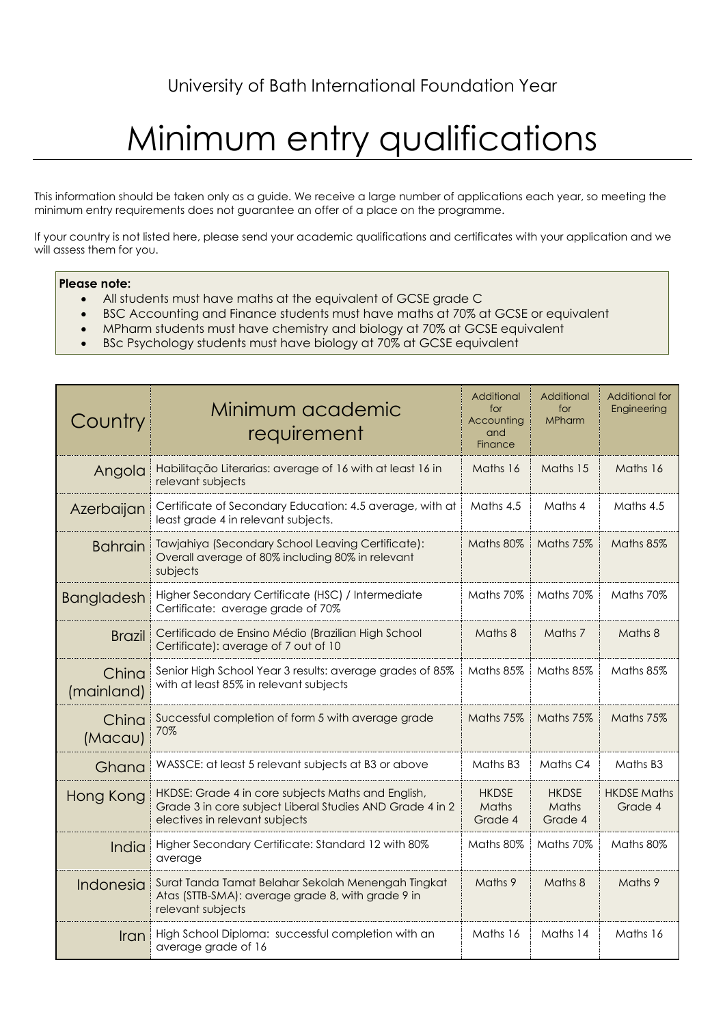## Minimum entry qualifications

This information should be taken only as a guide. We receive a large number of applications each year, so meeting the minimum entry requirements does not guarantee an offer of a place on the programme.

If your country is not listed here, please send your academic qualifications and certificates with your application and we will assess them for you.

## **Please note:**

- All students must have maths at the equivalent of GCSE grade C
- BSC Accounting and Finance students must have maths at 70% at GCSE or equivalent
- MPharm students must have chemistry and biology at 70% at GCSE equivalent
- BSc Psychology students must have biology at 70% at GCSE equivalent

| Country             | Minimum academic<br>requirement                                                                                                                  | Additional<br>for<br>Accounting<br>and<br>Finance | Additional<br>for<br><b>MPharm</b> | <b>Additional for</b><br>Engineering |
|---------------------|--------------------------------------------------------------------------------------------------------------------------------------------------|---------------------------------------------------|------------------------------------|--------------------------------------|
| Angola              | Habilitação Literarias: average of 16 with at least 16 in<br>relevant subjects                                                                   | Maths 16                                          | Maths 15                           | Maths 16                             |
| Azerbaijan          | Certificate of Secondary Education: 4.5 average, with at<br>least grade 4 in relevant subjects.                                                  | Maths 4.5                                         | Maths 4                            | Maths 4.5                            |
| <b>Bahrain</b>      | Tawjahiya (Secondary School Leaving Certificate):<br>Overall average of 80% including 80% in relevant<br>subjects                                | Maths 80%                                         | Maths 75%                          | Maths 85%                            |
| Bangladesh          | Higher Secondary Certificate (HSC) / Intermediate<br>Certificate: average grade of 70%                                                           | Maths 70%                                         | Maths 70%                          | Maths 70%                            |
| <b>Brazil</b>       | Certificado de Ensino Médio (Brazilian High School<br>Certificate): average of 7 out of 10                                                       | Maths 8                                           | Maths 7                            | Maths 8                              |
| China<br>(mainland) | Senior High School Year 3 results: average grades of 85%<br>with at least 85% in relevant subjects                                               | Maths 85%                                         | Maths 85%                          | Maths 85%                            |
| China<br>(Macau)    | Successful completion of form 5 with average grade<br>70%                                                                                        | Maths 75%                                         | Maths 75%                          | Maths 75%                            |
| Ghana               | WASSCE: at least 5 relevant subjects at B3 or above                                                                                              | Maths B <sub>3</sub>                              | Maths C4                           | Maths B3                             |
| Hong Kong           | HKDSE: Grade 4 in core subjects Maths and English,<br>Grade 3 in core subject Liberal Studies AND Grade 4 in 2<br>electives in relevant subjects | <b>HKDSE</b><br>Maths<br>Grade 4                  | <b>HKDSE</b><br>Maths<br>Grade 4   | <b>HKDSE Maths</b><br>Grade 4        |
| India               | Higher Secondary Certificate: Standard 12 with 80%<br>average                                                                                    | Maths 80%                                         | Maths 70%                          | Maths 80%                            |
| Indonesia           | Surat Tanda Tamat Belahar Sekolah Menengah Tingkat<br>Atas (STTB-SMA): average grade 8, with grade 9 in<br>relevant subjects                     | Maths 9                                           | Maths 8                            | Maths 9                              |
| Iran                | High School Diploma: successful completion with an<br>average grade of 16                                                                        | Maths 16                                          | Maths 14                           | Maths 16                             |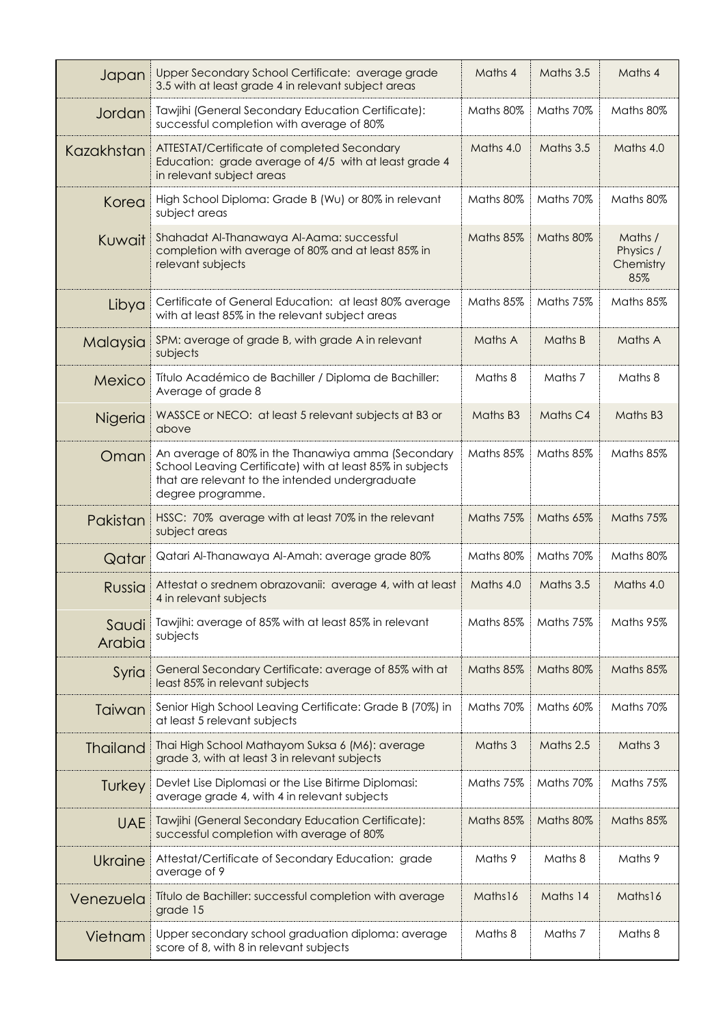| Japan           | Upper Secondary School Certificate: average grade<br>3.5 with at least grade 4 in relevant subject areas                                                                                | Maths 4   | Maths 3.5 | Maths 4                                  |
|-----------------|-----------------------------------------------------------------------------------------------------------------------------------------------------------------------------------------|-----------|-----------|------------------------------------------|
| Jordan          | Tawjihi (General Secondary Education Certificate):<br>successful completion with average of 80%                                                                                         | Maths 80% | Maths 70% | Maths 80%                                |
| Kazakhstan      | ATTESTAT/Certificate of completed Secondary<br>Education: grade average of 4/5 with at least grade 4<br>in relevant subject areas                                                       | Maths 4.0 | Maths 3.5 | Maths 4.0                                |
| Korea           | High School Diploma: Grade B (Wu) or 80% in relevant<br>subject areas                                                                                                                   | Maths 80% | Maths 70% | Maths 80%                                |
| Kuwait          | Shahadat Al-Thanawaya Al-Aama: successful<br>completion with average of 80% and at least 85% in<br>relevant subjects                                                                    | Maths 85% | Maths 80% | Maths /<br>Physics /<br>Chemistry<br>85% |
| Libya           | Certificate of General Education: at least 80% average<br>with at least 85% in the relevant subject areas                                                                               | Maths 85% | Maths 75% | Maths 85%                                |
| Malaysia        | SPM: average of grade B, with grade A in relevant<br>subjects                                                                                                                           | Maths A   | Maths B   | Maths A                                  |
| Mexico          | Título Académico de Bachiller / Diploma de Bachiller:<br>Average of grade 8                                                                                                             | Maths 8   | Maths 7   | Maths 8                                  |
| Nigeria         | WASSCE or NECO: at least 5 relevant subjects at B3 or<br>above                                                                                                                          | Maths B3  | Maths C4  | Maths B3                                 |
| Oman            | An average of 80% in the Thanawiya amma (Secondary<br>School Leaving Certificate) with at least 85% in subjects<br>that are relevant to the intended undergraduate<br>degree programme. | Maths 85% | Maths 85% | Maths 85%                                |
| Pakistan        | HSSC: 70% average with at least 70% in the relevant<br>subject areas                                                                                                                    | Maths 75% | Maths 65% | Maths 75%                                |
| Qatar           | Qatari Al-Thanawaya Al-Amah: average grade 80%                                                                                                                                          | Maths 80% | Maths 70% | Maths 80%                                |
| Russia          | Attestat o srednem obrazovanii: average 4, with at least<br>4 in relevant subjects                                                                                                      | Maths 4.0 | Maths 3.5 | Maths 4.0                                |
| Saudi<br>Arabia | Tawjihi: average of 85% with at least 85% in relevant<br>subjects                                                                                                                       | Maths 85% | Maths 75% | Maths 95%                                |
| Syria           | General Secondary Certificate: average of 85% with at<br>least 85% in relevant subjects                                                                                                 | Maths 85% | Maths 80% | Maths 85%                                |
| Taiwan          | Senior High School Leaving Certificate: Grade B (70%) in<br>at least 5 relevant subjects                                                                                                | Maths 70% | Maths 60% | Maths 70%                                |
| <b>Thailand</b> | Thai High School Mathayom Suksa 6 (M6): average<br>grade 3, with at least 3 in relevant subjects                                                                                        | Maths 3   | Maths 2.5 | Maths 3                                  |
| Turkey          | Devlet Lise Diplomasi or the Lise Bitirme Diplomasi:<br>average grade 4, with 4 in relevant subjects                                                                                    | Maths 75% | Maths 70% | Maths 75%                                |
| <b>UAE</b>      | Tawjihi (General Secondary Education Certificate):<br>successful completion with average of 80%                                                                                         | Maths 85% | Maths 80% | Maths 85%                                |
| Ukraine         | Attestat/Certificate of Secondary Education: grade<br>average of 9                                                                                                                      | Maths 9   | Maths 8   | Maths 9                                  |
| Venezuela       | Título de Bachiller: successful completion with average<br>grade 15                                                                                                                     | Maths16   | Maths 14  | Maths16                                  |
| Vietnam         | Upper secondary school graduation diploma: average<br>score of 8, with 8 in relevant subjects                                                                                           | Maths 8   | Maths 7   | Maths 8                                  |